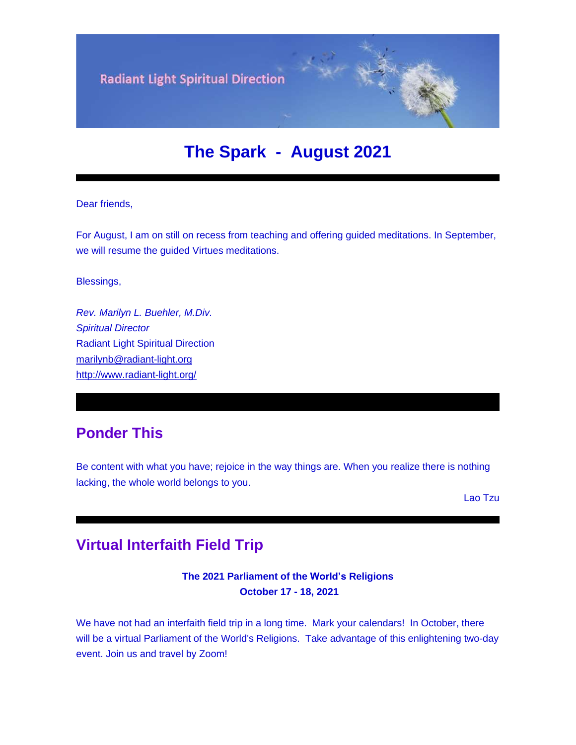

# **The Spark - August 2021**

#### Dear friends,

For August, I am on still on recess from teaching and offering guided meditations. In September, we will resume the guided Virtues meditations.

Blessings,

*Rev. Marilyn L. Buehler, M.Div. Spiritual Director* Radiant Light Spiritual Direction [marilynb@radiant-light.org](mailto:marilynb@radiant-light.org) [http://www.radiant-light.org/](https://u18544456.ct.sendgrid.net/ls/click?upn=R-2Bl7NGDLiuME3v4KUDXT9h2qnOPi-2Bv0NUDPOAvqgwbSGaV-2BAb3Xm4aVOKtH6HhU9m-2FTXOQwSXWi82XNXQXmW0Ybjzw6tS-2BT4DLdUHTzXugFWK15x1FY1bK6oAs60zDHaM14X_FiQrYGg1YZElR924caalGEP3AHGeF79ulf5jxC9Fbcd8IfoR4p2-2FW0xZvJaX6Y3z75H0Yw3uGmHJTH3azVPJ5D2qCoI73UzQwuURqNFDS2H-2Foft08TWpElscdhiHjjgTsr8DLbdAJRN-2FDKk1ytNN8psEPDMqgHdNjpNnbDEVou7NXoCtCKL6DKRRjQbkwAKB3SPAmtwsAu7-2BXIcV7-2FIylBnRcLZPzwRhSMseY7VVxnaoHRFEjLlL6A-2FdjBKHeGhiyVw-2BNy8sDwQXm-2B8MsMkQ1oXTd3CDMz0WaL1Cd7VtYFlvnKakQA74A8R1NBWh7SSqQkZHF0GlpYVu7qdf8TEvrXUXgvjNyX7vPLgsd0gxQ7-2FRJwAHlXDl502K34k2YH8iIzuW1KxTPLeWgOYOPST83QEJkkXFUS-2B-2FGTXQ0EfMm5RToYfarc1ZBuFuKzdN353QY08GS6q9k-2BIDSrcQ7wRSFvW0HtHScENHcRLlTqu4yCI3x6kuQRsXtvPbspGGw48KGrdx9K3ZYJFeJ0UIcYytoSvBKrOyl-2B9aw-2FfkMUdVMO8-3D)

## **Ponder This**

Be content with what you have; rejoice in the way things are. When you realize there is nothing lacking, the whole world belongs to you.

Lao Tzu

### **Virtual Interfaith Field Trip**

#### **The 2021 Parliament of the World's Religions October 17 - 18, 2021**

We have not had an interfaith field trip in a long time. Mark your calendars! In October, there will be a virtual Parliament of the World's Religions. Take advantage of this enlightening two-day event. Join us and travel by Zoom!